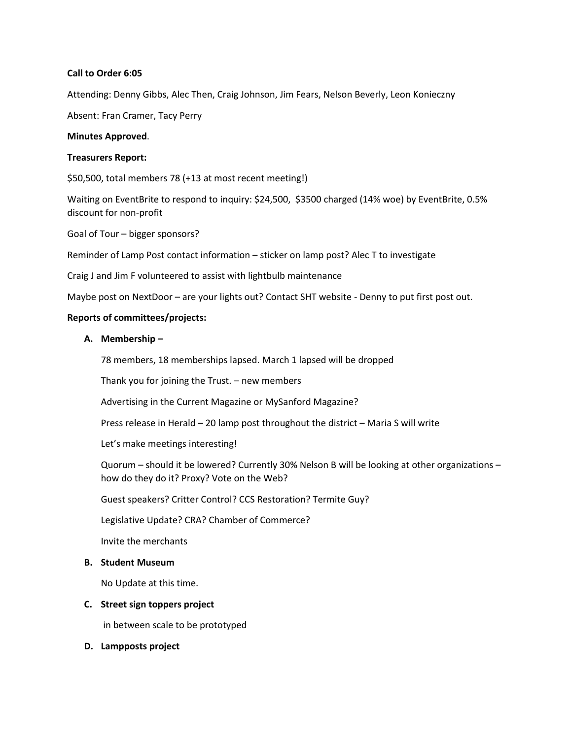# **Call to Order 6:05**

Attending: Denny Gibbs, Alec Then, Craig Johnson, Jim Fears, Nelson Beverly, Leon Konieczny

Absent: Fran Cramer, Tacy Perry

### **Minutes Approved**.

### **Treasurers Report:**

\$50,500, total members 78 (+13 at most recent meeting!)

Waiting on EventBrite to respond to inquiry: \$24,500, \$3500 charged (14% woe) by EventBrite, 0.5% discount for non-profit

Goal of Tour – bigger sponsors?

Reminder of Lamp Post contact information – sticker on lamp post? Alec T to investigate

Craig J and Jim F volunteered to assist with lightbulb maintenance

Maybe post on NextDoor – are your lights out? Contact SHT website - Denny to put first post out.

# **Reports of committees/projects:**

# **A. Membership –**

78 members, 18 memberships lapsed. March 1 lapsed will be dropped

Thank you for joining the Trust. – new members

Advertising in the Current Magazine or MySanford Magazine?

Press release in Herald – 20 lamp post throughout the district – Maria S will write

Let's make meetings interesting!

Quorum – should it be lowered? Currently 30% Nelson B will be looking at other organizations – how do they do it? Proxy? Vote on the Web?

Guest speakers? Critter Control? CCS Restoration? Termite Guy?

Legislative Update? CRA? Chamber of Commerce?

Invite the merchants

### **B. Student Museum**

No Update at this time.

#### **C. Street sign toppers project**

in between scale to be prototyped

**D. Lampposts project**